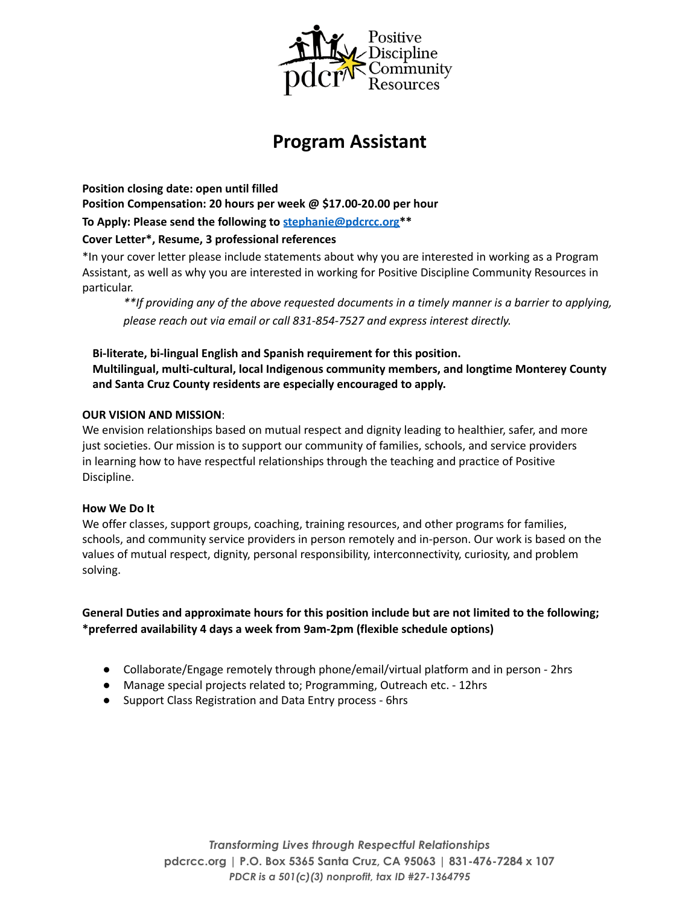

# **Program Assistant**

**Position closing date: open until filled Position Compensation: 20 hours per week @ \$17.00-20.00 per hour To Apply: Please send the following to stephanie@pdcrcc.org\*\***

## **Cover Letter\*, Resume, 3 professional references**

\*In your cover letter please include statements about why you are interested in working as a Program Assistant, as well as why you are interested in working for Positive Discipline Community Resources in particular.

*\*\*If providing any of the above requested documents in a timely manner is a barrier to applying, please reach out via email or call 831-854-7527 and express interest directly.*

**Bi-literate, bi-lingual English and Spanish requirement for this position. Multilingual, multi-cultural, local Indigenous community members, and longtime Monterey County and Santa Cruz County residents are especially encouraged to apply.**

### **OUR VISION AND MISSION**:

We envision relationships based on mutual respect and dignity leading to healthier, safer, and more just societies. Our mission is to support our community of families, schools, and service providers in learning how to have respectful relationships through the teaching and practice of Positive Discipline.

#### **How We Do It**

We offer classes, support groups, coaching, training resources, and other programs for families, schools, and community service providers in person remotely and in-person. Our work is based on the values of mutual respect, dignity, personal responsibility, interconnectivity, curiosity, and problem solving.

**General Duties and approximate hours for this position include but are not limited to the following; \*preferred availability 4 days a week from 9am-2pm (flexible schedule options)**

- Collaborate/Engage remotely through phone/email/virtual platform and in person 2hrs
- Manage special projects related to; Programming, Outreach etc. 12hrs
- Support Class Registration and Data Entry process 6hrs